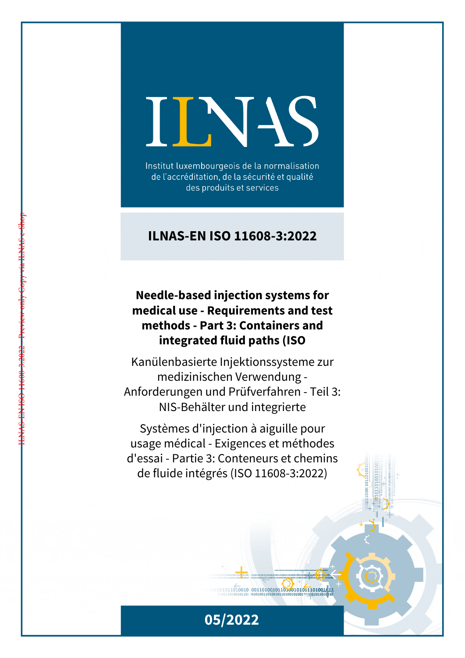# INAS

Institut luxembourgeois de la normalisation de l'accréditation, de la sécurité et qualité des produits et services

#### **ILNAS-EN ISO 11608-3:2022**

#### **Needle-based injection systems for medical use - Requirements and test methods - Part 3: Containers and integrated fluid paths (ISO**

Kanülenbasierte Injektionssysteme zur medizinischen Verwendung - Anforderungen und Prüfverfahren - Teil 3: NIS-Behälter und integrierte

Systèmes d'injection à aiguille pour usage médical - Exigences et méthodes d'essai - Partie 3: Conteneurs et chemins de fluide intégrés (ISO 11608-3:2022)



 $1011010010 00110100101101001001101001111$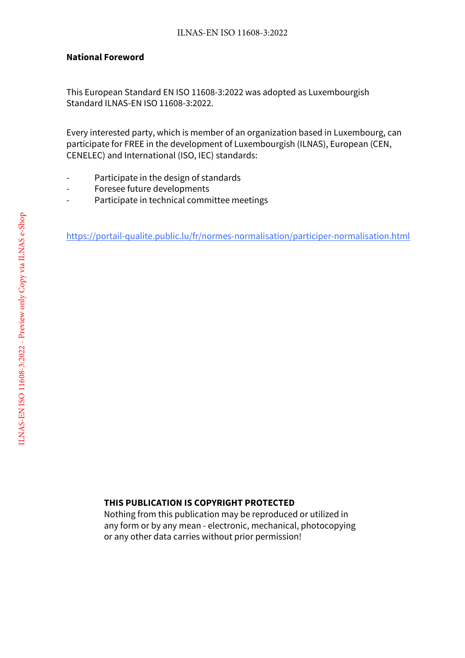#### **National Foreword**

This European Standard EN ISO 11608-3:2022 was adopted as Luxembourgish Standard ILNAS-EN ISO 11608-3:2022.

Every interested party, which is member of an organization based in Luxembourg, can participate for FREE in the development of Luxembourgish (ILNAS), European (CEN, CENELEC) and International (ISO, IEC) standards:

- Participate in the design of standards
- Foresee future developments
- Participate in technical committee meetings

https://portail-qualite.public.lu/fr/normes-normalisation/participer-normalisation.html

#### **THIS PUBLICATION IS COPYRIGHT PROTECTED**

Nothing from this publication may be reproduced or utilized in any form or by any mean - electronic, mechanical, photocopying or any other data carries without prior permission!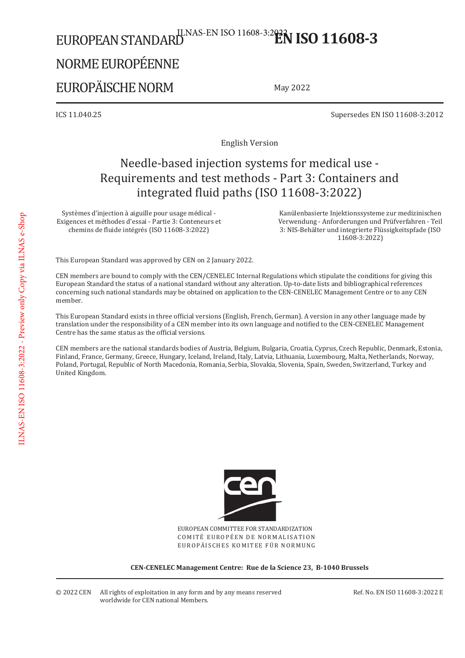# EUROPEAN STANDARD<sup>ILNAS-EN ISO 11608-3:2<sup>023</sup>R ISO 11608-3</sup>

### NORME EUROPÉENNE

#### EUROPÄISCHE NORM

May 2022

 $\sim$  TCS 11.040.25 Supersedes EN ISO 11608-3:2012

**English Version** 

#### Needle-based injection systems for medical use -Requirements and test methods - Part 3: Containers and integrated fluid paths (ISO 11608-3:2022)

Systèmes d'injection à aiguille pour usage médical -Exigences et méthodes d'essai - Partie 3: Conteneurs et chemins de fluide intégrés (ISO 11608-3:2022)

Kanülenbasierte Iniektionssysteme zur medizinischen Verwendung - Anforderungen und Prüfverfahren - Teil 3: NIS-Behälter und integrierte Flüssigkeitspfade (ISO 11608-3:2022)

This European Standard was approved by CEN on 2 January 2022.

CEN members are bound to comply with the CEN/CENELEC Internal Regulations which stipulate the conditions for giving this European Standard the status of a national standard without any alteration. Up-to-date lists and bibliographical references concerning such national standards may be obtained on application to the CEN-CENELEC Management Centre or to any CEN member.

This European Standard exists in three official versions (English, French, German). A version in any other language made by translation under the responsibility of a CEN member into its own language and notified to the CEN-CENELEC Management Centre has the same status as the official versions.

CEN members are the national standards bodies of Austria, Belgium, Bulgaria, Croatia, Cyprus, Czech Republic, Denmark, Estonia, Finland, France, Germany, Greece, Hungary, Iceland, Ireland, Italy, Latvia, Lithuania, Luxembourg, Malta, Netherlands, Norway, Poland, Portugal, Republic of North Macedonia, Romania, Serbia, Slovakia, Slovenia, Spain, Sweden, Switzerland, Turkey and United Kingdom.



EUROPEAN COMMITTEE FOR STANDARDIZATION COMITÉ EUROPÉEN DE NORMALISATION EUROPÄISCHES KOMITEE FÜR NORMUNG

**CEN-CENELEC Management Centre: Rue de la Science 23, B-1040 Brussels**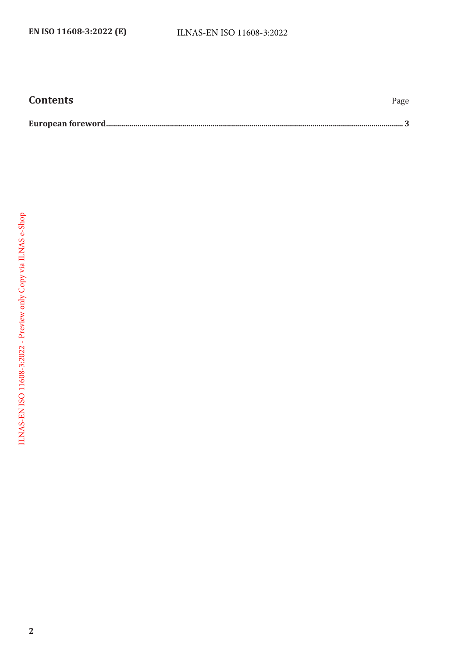#### **Contents** Page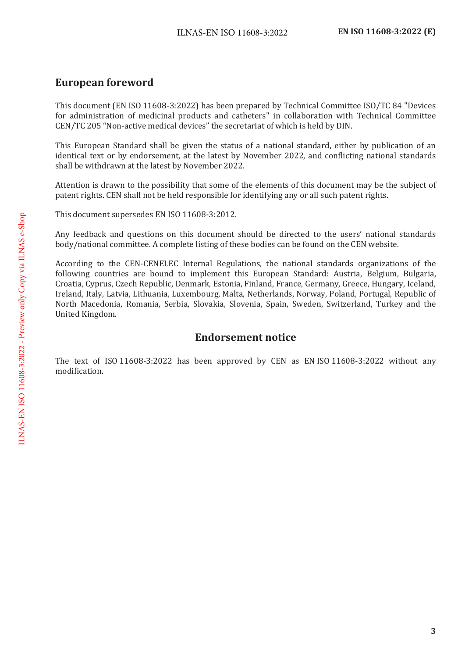#### **European foreword**

This document (EN ISO 11608-3:2022) has been prepared by Technical Committee ISO/TC 84 "Devices for administration of medicinal products and catheters" in collaboration with Technical Committee CEN/TC 205 "Non-active medical devices" the secretariat of which is held by DIN.

This European Standard shall be given the status of a national standard, either by publication of an identical text or by endorsement, at the latest by November 2022, and conflicting national standards shall be withdrawn at the latest by November 2022.

Attention is drawn to the possibility that some of the elements of this document may be the subject of patent rights. CEN shall not be held responsible for identifying any or all such patent rights.

This document supersedes EN ISO 11608-3:2012.

Any feedback and questions on this document should be directed to the users' national standards body/national committee. A complete listing of these bodies can be found on the CEN website.

According to the CEN-CENELEC Internal Regulations, the national standards organizations of the following countries are bound to implement this European Standard: Austria, Belgium, Bulgaria, Croatia, Cyprus, Czech Republic, Denmark, Estonia, Finland, France, Germany, Greece, Hungary, Iceland, Ireland, Italy, Latvia, Lithuania, Luxembourg, Malta, Netherlands, Norway, Poland, Portugal, Republic of North Macedonia, Romania, Serbia, Slovakia, Slovenia, Spain, Sweden, Switzerland, Turkey and the United Kingdom.

#### **Endorsement notice**

The text of ISO 11608-3:2022 has been approved by CEN as EN ISO 11608-3:2022 without any modification.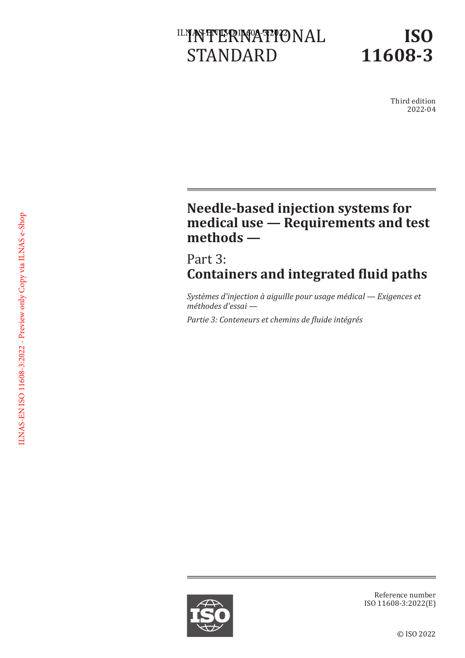## LNASFINERINGA 3721 ON AL STANDARD

Third edition 2022-04

#### **Needle-based injection systems for medical use — Requirements and test methods —**

Part 3: **ontainers and interated ϐluid aths**

*Systèmes d'injection à aiguille pour usage médical — Exigences et méthodes d'essai —*

*artie ǣ onteneurs et chemins de ϔluide intégrés*



Reference number ISO 11608-3:2022(E)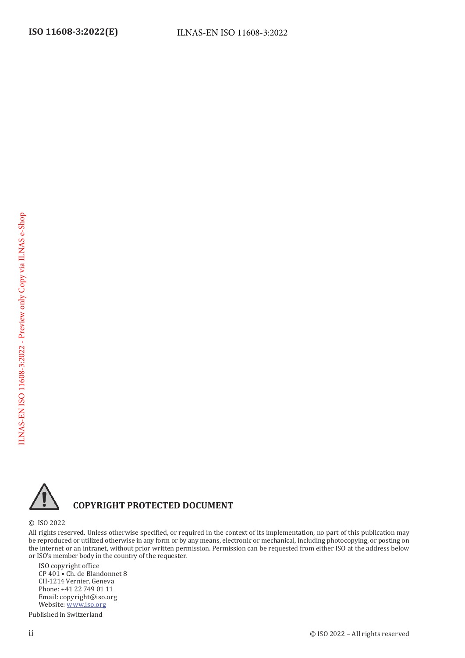

#### **COPYRIGHT PROTECTED DOCUMENT**

© ISO 2022

All rights reserved. Unless otherwise specified, or required in the context of its implementation, no part of this publication may be reproduced or utilized otherwise in any form or by any means, electronic or mechanical, including photocopying, or posting on the internet or an intranet, without prior written permission. Permission can be requested from either ISO at the address below or ISO's member body in the country of the requester.

ISO copyright office CP 401 · Ch. de Blandonnet 8 CH-1214 Vernier, Geneva Phone: +41 22 749 01 11 Email: copyright@iso.org Website: www.iso.org

Published in Switzerland